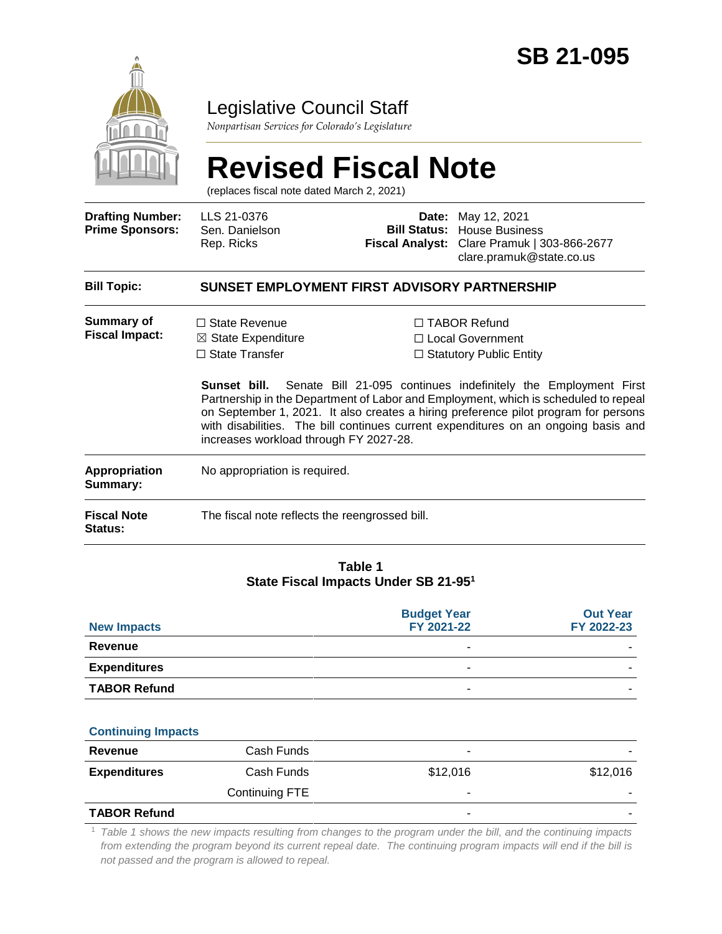

## Legislative Council Staff

*Nonpartisan Services for Colorado's Legislature*

# **Revised Fiscal Note**

(replaces fiscal note dated March 2, 2021)

| <b>Drafting Number:</b><br><b>Prime Sponsors:</b> | LLS 21-0376<br>Sen. Danielson<br>Rep. Ricks                                                                              | Date:<br><b>Fiscal Analyst:</b> | May 12, 2021<br><b>Bill Status: House Business</b><br>Clare Pramuk   303-866-2677<br>clare.pramuk@state.co.us                                                                                                                                                                                                                                                                                                                              |  |  |
|---------------------------------------------------|--------------------------------------------------------------------------------------------------------------------------|---------------------------------|--------------------------------------------------------------------------------------------------------------------------------------------------------------------------------------------------------------------------------------------------------------------------------------------------------------------------------------------------------------------------------------------------------------------------------------------|--|--|
| <b>Bill Topic:</b>                                | SUNSET EMPLOYMENT FIRST ADVISORY PARTNERSHIP                                                                             |                                 |                                                                                                                                                                                                                                                                                                                                                                                                                                            |  |  |
| Summary of<br><b>Fiscal Impact:</b>               | $\Box$ State Revenue<br>$\boxtimes$ State Expenditure<br>$\Box$ State Transfer<br>increases workload through FY 2027-28. |                                 | $\Box$ TABOR Refund<br>$\Box$ Local Government<br>$\Box$ Statutory Public Entity<br><b>Sunset bill.</b> Senate Bill 21-095 continues indefinitely the Employment First<br>Partnership in the Department of Labor and Employment, which is scheduled to repeal<br>on September 1, 2021. It also creates a hiring preference pilot program for persons<br>with disabilities. The bill continues current expenditures on an ongoing basis and |  |  |
| Appropriation<br>Summary:                         | No appropriation is required.                                                                                            |                                 |                                                                                                                                                                                                                                                                                                                                                                                                                                            |  |  |
| <b>Fiscal Note</b><br>Status:                     | The fiscal note reflects the reengrossed bill.                                                                           |                                 |                                                                                                                                                                                                                                                                                                                                                                                                                                            |  |  |
|                                                   |                                                                                                                          |                                 |                                                                                                                                                                                                                                                                                                                                                                                                                                            |  |  |

#### **Table 1 State Fiscal Impacts Under SB 21-95<sup>1</sup>**

| <b>New Impacts</b>  | <b>Budget Year</b><br>FY 2021-22 | <b>Out Year</b><br>FY 2022-23 |
|---------------------|----------------------------------|-------------------------------|
| Revenue             |                                  |                               |
| <b>Expenditures</b> |                                  |                               |
| <b>TABOR Refund</b> | -                                |                               |

#### **Continuing Impacts**

| Revenue             | Cash Funds     |          |                          |
|---------------------|----------------|----------|--------------------------|
| <b>Expenditures</b> | Cash Funds     | \$12,016 | \$12,016                 |
|                     | Continuing FTE | -        | $\overline{\phantom{a}}$ |
| <b>TABOR Refund</b> |                | ۰        | $\overline{\phantom{a}}$ |

<sup>1</sup> *Table 1 shows the new impacts resulting from changes to the program under the bill, and the continuing impacts from extending the program beyond its current repeal date. The continuing program impacts will end if the bill is not passed and the program is allowed to repeal.*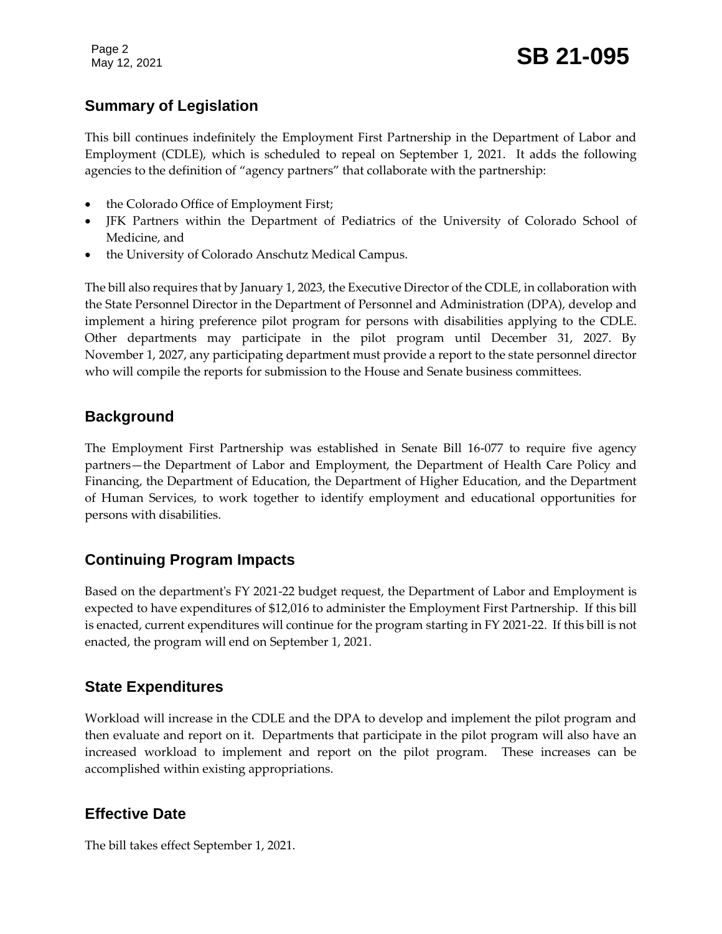Page 2

### **Summary of Legislation**

This bill continues indefinitely the Employment First Partnership in the Department of Labor and Employment (CDLE), which is scheduled to repeal on September 1, 2021. It adds the following agencies to the definition of "agency partners" that collaborate with the partnership:

- the Colorado Office of Employment First;
- JFK Partners within the Department of Pediatrics of the University of Colorado School of Medicine, and
- the University of Colorado Anschutz Medical Campus.

The bill also requires that by January 1, 2023, the Executive Director of the CDLE, in collaboration with the State Personnel Director in the Department of Personnel and Administration (DPA), develop and implement a hiring preference pilot program for persons with disabilities applying to the CDLE. Other departments may participate in the pilot program until December 31, 2027. By November 1, 2027, any participating department must provide a report to the state personnel director who will compile the reports for submission to the House and Senate business committees.

#### **Background**

The Employment First Partnership was established in Senate Bill 16-077 to require five agency partners—the Department of Labor and Employment, the Department of Health Care Policy and Financing, the Department of Education, the Department of Higher Education, and the Department of Human Services, to work together to identify employment and educational opportunities for persons with disabilities.

### **Continuing Program Impacts**

Based on the department's FY 2021-22 budget request, the Department of Labor and Employment is expected to have expenditures of \$12,016 to administer the Employment First Partnership. If this bill is enacted, current expenditures will continue for the program starting in FY 2021-22. If this bill is not enacted, the program will end on September 1, 2021.

#### **State Expenditures**

Workload will increase in the CDLE and the DPA to develop and implement the pilot program and then evaluate and report on it. Departments that participate in the pilot program will also have an increased workload to implement and report on the pilot program. These increases can be accomplished within existing appropriations.

### **Effective Date**

The bill takes effect September 1, 2021.